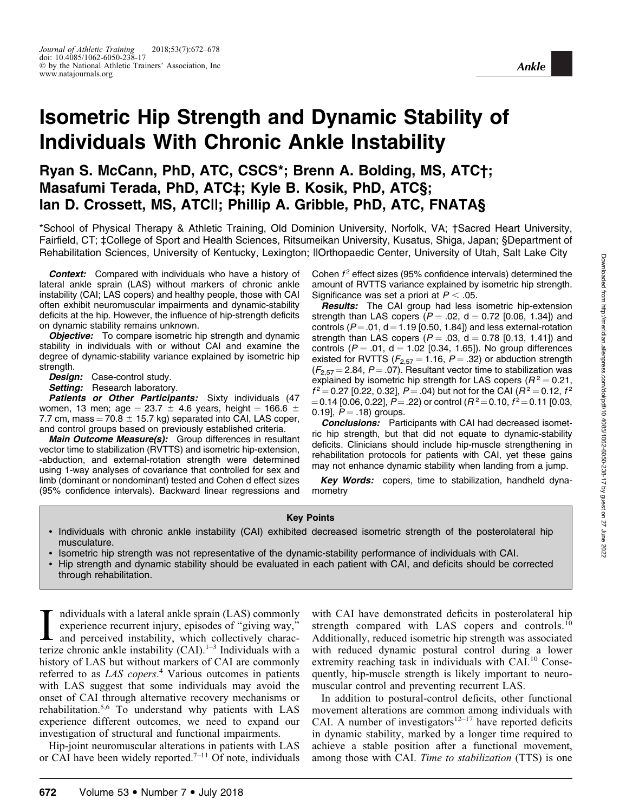# Isometric Hip Strength and Dynamic Stability of Individuals With Chronic Ankle Instability

# Ryan S. McCann, PhD, ATC, CSCS\*; Brenn A. Bolding, MS, ATC†; Masafumi Terada, PhD, ATC‡; Kyle B. Kosik, PhD, ATC§; Ian D. Crossett, MS, ATC||; Phillip A. Gribble, PhD, ATC, FNATA§

\*School of Physical Therapy & Athletic Training, Old Dominion University, Norfolk, VA; †Sacred Heart University, Fairfield, CT; ‡College of Sport and Health Sciences, Ritsumeikan University, Kusatus, Shiga, Japan; §Department of Rehabilitation Sciences, University of Kentucky, Lexington; ||Orthopaedic Center, University of Utah, Salt Lake City

**Context:** Compared with individuals who have a history of lateral ankle sprain (LAS) without markers of chronic ankle instability (CAI; LAS copers) and healthy people, those with CAI often exhibit neuromuscular impairments and dynamic-stability deficits at the hip. However, the influence of hip-strength deficits on dynamic stability remains unknown.

**Objective:** To compare isometric hip strength and dynamic stability in individuals with or without CAI and examine the degree of dynamic-stability variance explained by isometric hip strength.

Design: Case-control study.

Setting: Research laboratory.

Patients or Other Participants: Sixty individuals (47 women, 13 men; age = 23.7  $\pm$  4.6 years, height = 166.6  $\pm$ 7.7 cm, mass  $= 70.8 \pm 15.7$  kg) separated into CAI, LAS coper, and control groups based on previously established criteria.

Main Outcome Measure(s): Group differences in resultant vector time to stabilization (RVTTS) and isometric hip-extension, -abduction, and external-rotation strength were determined using 1-way analyses of covariance that controlled for sex and limb (dominant or nondominant) tested and Cohen d effect sizes (95% confidence intervals). Backward linear regressions and Cohen  $f<sup>2</sup>$  effect sizes (95% confidence intervals) determined the amount of RVTTS variance explained by isometric hip strength. Significance was set a priori at  $P < .05$ .

**Results:** The CAI group had less isometric hip-extension strength than LAS copers ( $P = .02$ ,  $d = 0.72$  [0.06, 1.34]) and controls ( $P = .01$ ,  $d = 1.19$  [0.50, 1.84]) and less external-rotation strength than LAS copers ( $P = .03$ , d = 0.78 [0.13, 1.41]) and controls ( $P = .01$ , d = 1.02 [0.34, 1.65]). No group differences existed for RVTTS ( $F_{2.57}$  = 1.16, P = .32) or abduction strength  $(F_{2.57} = 2.84, P = .07)$ . Resultant vector time to stabilization was explained by isometric hip strength for LAS copers ( $R^2 = 0.21$ ,  $f^2 = 0.27$  [0.22, 0.32],  $P = .04$ ) but not for the CAI ( $R^2 = 0.12$ ,  $f^2$ = 0.14 [0.06, 0.22],  $P = 0.22$ ) or control ( $R^2 = 0.10$ ,  $f^2 = 0.11$  [0.03, 0.19],  $P = .18$ ) groups.

**Conclusions:** Participants with CAI had decreased isometric hip strength, but that did not equate to dynamic-stability deficits. Clinicians should include hip-muscle strengthening in rehabilitation protocols for patients with CAI, yet these gains may not enhance dynamic stability when landing from a jump.

Key Words: copers, time to stabilization, handheld dynamometry

#### Key Points

- Individuals with chronic ankle instability (CAI) exhibited decreased isometric strength of the posterolateral hip musculature.
- Isometric hip strength was not representative of the dynamic-stability performance of individuals with CAI.
- Hip strength and dynamic stability should be evaluated in each patient with CAI, and deficits should be corrected through rehabilitation.

I ndividuals with a lateral ankle sprain (LAS) commonly experience recurrent injury, episodes of "giving way," and perceived instability, which collectively characterize chronic ankle instability (CAI).<sup>1–3</sup> Individuals wi ndividuals with a lateral ankle sprain (LAS) commonly experience recurrent injury, episodes of ''giving way,'' and perceived instability, which collectively charachistory of LAS but without markers of CAI are commonly referred to as LAS copers.<sup>4</sup> Various outcomes in patients with LAS suggest that some individuals may avoid the onset of CAI through alternative recovery mechanisms or rehabilitation.5,6 To understand why patients with LAS experience different outcomes, we need to expand our investigation of structural and functional impairments.

Hip-joint neuromuscular alterations in patients with LAS or CAI have been widely reported.<sup>7-11</sup> Of note, individuals with CAI have demonstrated deficits in posterolateral hip strength compared with LAS copers and controls.<sup>10</sup> Additionally, reduced isometric hip strength was associated with reduced dynamic postural control during a lower extremity reaching task in individuals with CAI.<sup>10</sup> Consequently, hip-muscle strength is likely important to neuromuscular control and preventing recurrent LAS.

In addition to postural-control deficits, other functional movement alterations are common among individuals with CAI. A number of investigators<sup>12–17</sup> have reported deficits in dynamic stability, marked by a longer time required to achieve a stable position after a functional movement, among those with CAI. Time to stabilization (TTS) is one

Ankle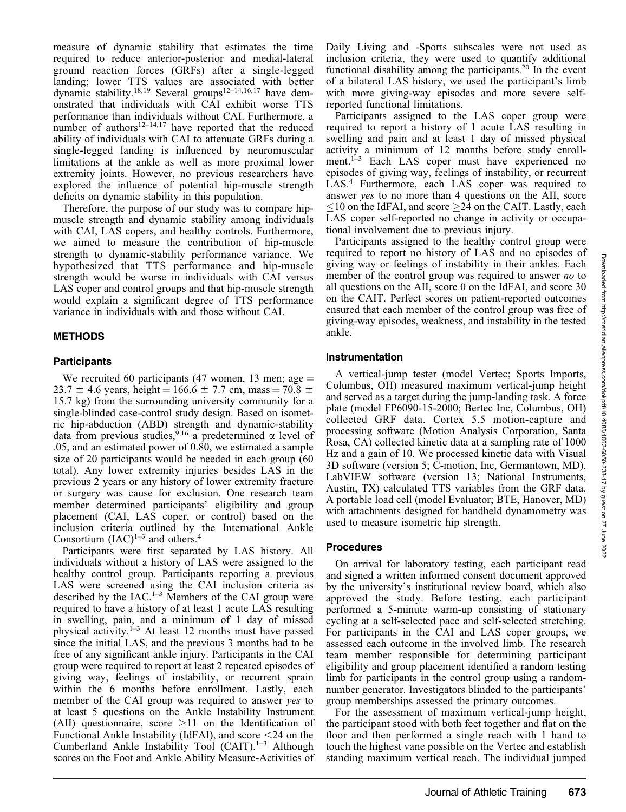measure of dynamic stability that estimates the time required to reduce anterior-posterior and medial-lateral ground reaction forces (GRFs) after a single-legged landing; lower TTS values are associated with better dynamic stability.<sup>18,19</sup> Several groups<sup>12–14,16,17</sup> have demonstrated that individuals with CAI exhibit worse TTS performance than individuals without CAI. Furthermore, a number of authors<sup>12–14,17</sup> have reported that the reduced ability of individuals with CAI to attenuate GRFs during a single-legged landing is influenced by neuromuscular limitations at the ankle as well as more proximal lower extremity joints. However, no previous researchers have explored the influence of potential hip-muscle strength deficits on dynamic stability in this population.

Therefore, the purpose of our study was to compare hipmuscle strength and dynamic stability among individuals with CAI, LAS copers, and healthy controls. Furthermore, we aimed to measure the contribution of hip-muscle strength to dynamic-stability performance variance. We hypothesized that TTS performance and hip-muscle strength would be worse in individuals with CAI versus LAS coper and control groups and that hip-muscle strength would explain a significant degree of TTS performance variance in individuals with and those without CAI.

# METHODS

# Participants

We recruited 60 participants (47 women, 13 men; age  $=$ 23.7  $\pm$  4.6 years, height = 166.6  $\pm$  7.7 cm, mass = 70.8  $\pm$ 15.7 kg) from the surrounding university community for a single-blinded case-control study design. Based on isometric hip-abduction (ABD) strength and dynamic-stability data from previous studies,<sup>9,16</sup> a predetermined  $\alpha$  level of .05, and an estimated power of 0.80, we estimated a sample size of 20 participants would be needed in each group (60 total). Any lower extremity injuries besides LAS in the previous 2 years or any history of lower extremity fracture or surgery was cause for exclusion. One research team member determined participants' eligibility and group placement (CAI, LAS coper, or control) based on the inclusion criteria outlined by the International Ankle Consortium  $(IAC)^{1-3}$  and others.<sup>4</sup>

Participants were first separated by LAS history. All individuals without a history of LAS were assigned to the healthy control group. Participants reporting a previous LAS were screened using the CAI inclusion criteria as described by the  $IAC<sup>1-3</sup>$  Members of the CAI group were required to have a history of at least 1 acute LAS resulting in swelling, pain, and a minimum of 1 day of missed physical activity.<sup>1–3</sup> At least 12 months must have passed since the initial LAS, and the previous 3 months had to be free of any significant ankle injury. Participants in the CAI group were required to report at least 2 repeated episodes of giving way, feelings of instability, or recurrent sprain within the 6 months before enrollment. Lastly, each member of the CAI group was required to answer yes to at least 5 questions on the Ankle Instability Instrument (AII) questionnaire, score  $\geq 11$  on the Identification of Functional Ankle Instability (IdFAI), and score  $\leq$ 24 on the Cumberland Ankle Instability Tool (CAIT).<sup>1–3</sup> Although scores on the Foot and Ankle Ability Measure-Activities of Daily Living and -Sports subscales were not used as inclusion criteria, they were used to quantify additional functional disability among the participants.<sup>20</sup> In the event of a bilateral LAS history, we used the participant's limb with more giving-way episodes and more severe selfreported functional limitations.

Participants assigned to the LAS coper group were required to report a history of 1 acute LAS resulting in swelling and pain and at least 1 day of missed physical activity a minimum of 12 months before study enrollment.<sup>1-3</sup> Each LAS coper must have experienced no episodes of giving way, feelings of instability, or recurrent LAS.4 Furthermore, each LAS coper was required to answer yes to no more than 4 questions on the AII, score  $\leq$ 10 on the IdFAI, and score  $\geq$ 24 on the CAIT. Lastly, each LAS coper self-reported no change in activity or occupational involvement due to previous injury.

Participants assigned to the healthy control group were required to report no history of LAS and no episodes of giving way or feelings of instability in their ankles. Each member of the control group was required to answer no to all questions on the AII, score 0 on the IdFAI, and score 30 on the CAIT. Perfect scores on patient-reported outcomes ensured that each member of the control group was free of giving-way episodes, weakness, and instability in the tested ankle.

## Instrumentation

A vertical-jump tester (model Vertec; Sports Imports, Columbus, OH) measured maximum vertical-jump height and served as a target during the jump-landing task. A force plate (model FP6090-15-2000; Bertec Inc, Columbus, OH) collected GRF data. Cortex 5.5 motion-capture and processing software (Motion Analysis Corporation, Santa Rosa, CA) collected kinetic data at a sampling rate of 1000 Hz and a gain of 10. We processed kinetic data with Visual 3D software (version 5; C-motion, Inc, Germantown, MD). LabVIEW software (version 13; National Instruments, Austin, TX) calculated TTS variables from the GRF data. A portable load cell (model Evaluator; BTE, Hanover, MD) with attachments designed for handheld dynamometry was used to measure isometric hip strength.

## Procedures

On arrival for laboratory testing, each participant read and signed a written informed consent document approved by the university's institutional review board, which also approved the study. Before testing, each participant performed a 5-minute warm-up consisting of stationary cycling at a self-selected pace and self-selected stretching. For participants in the CAI and LAS coper groups, we assessed each outcome in the involved limb. The research team member responsible for determining participant eligibility and group placement identified a random testing limb for participants in the control group using a randomnumber generator. Investigators blinded to the participants' group memberships assessed the primary outcomes.

For the assessment of maximum vertical-jump height, the participant stood with both feet together and flat on the floor and then performed a single reach with 1 hand to touch the highest vane possible on the Vertec and establish standing maximum vertical reach. The individual jumped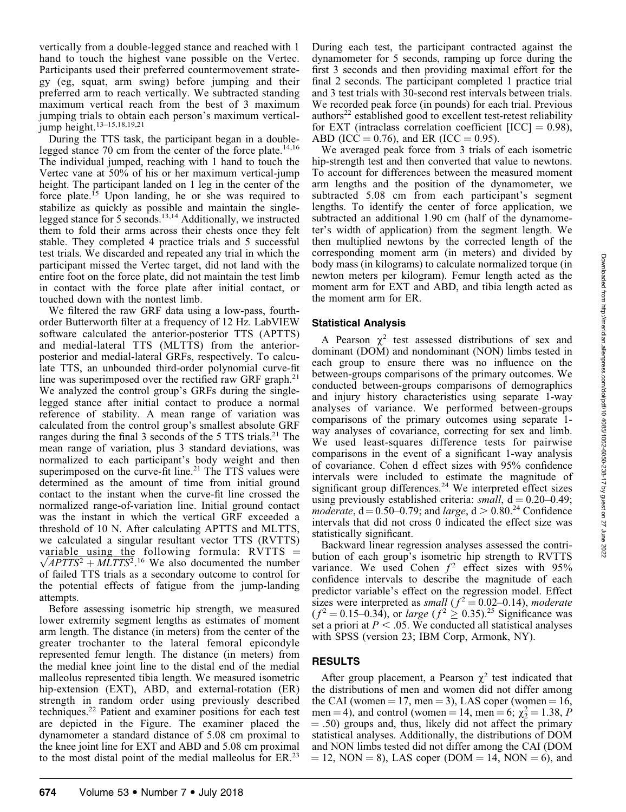vertically from a double-legged stance and reached with 1 hand to touch the highest vane possible on the Vertec. Participants used their preferred countermovement strategy (eg, squat, arm swing) before jumping and their preferred arm to reach vertically. We subtracted standing maximum vertical reach from the best of 3 maximum jumping trials to obtain each person's maximum verticaljump height.<sup>13–15,18,19,21</sup>

During the TTS task, the participant began in a doublelegged stance 70 cm from the center of the force plate.<sup>14,16</sup> The individual jumped, reaching with 1 hand to touch the Vertec vane at 50% of his or her maximum vertical-jump height. The participant landed on 1 leg in the center of the force plate.<sup>15</sup> Upon landing, he or she was required to stabilize as quickly as possible and maintain the singlelegged stance for 5 seconds.<sup>13,14</sup> Additionally, we instructed them to fold their arms across their chests once they felt stable. They completed 4 practice trials and 5 successful test trials. We discarded and repeated any trial in which the participant missed the Vertec target, did not land with the entire foot on the force plate, did not maintain the test limb in contact with the force plate after initial contact, or touched down with the nontest limb.

We filtered the raw GRF data using a low-pass, fourthorder Butterworth filter at a frequency of 12 Hz. LabVIEW software calculated the anterior-posterior TTS (APTTS) and medial-lateral TTS (MLTTS) from the anteriorposterior and medial-lateral GRFs, respectively. To calculate TTS, an unbounded third-order polynomial curve-fit line was superimposed over the rectified raw GRF graph.<sup>21</sup> We analyzed the control group's GRFs during the singlelegged stance after initial contact to produce a normal reference of stability. A mean range of variation was calculated from the control group's smallest absolute GRF ranges during the final 3 seconds of the 5 TTS trials.<sup>21</sup> The mean range of variation, plus 3 standard deviations, was normalized to each participant's body weight and then superimposed on the curve-fit line.<sup>21</sup> The TTS values were determined as the amount of time from initial ground contact to the instant when the curve-fit line crossed the normalized range-of-variation line. Initial ground contact was the instant in which the vertical GRF exceeded a threshold of 10 N. After calculating APTTS and MLTTS, we calculated a singular resultant vector TTS (RVTTS) variable using the following formula:  $R\hat{V}TTS =$ variable using the following formula:  $KVTIS = \sqrt{APTTS^2 + MLTTS^2}$ .<sup>16</sup> We also documented the number of failed TTS trials as a secondary outcome to control for the potential effects of fatigue from the jump-landing attempts.

Before assessing isometric hip strength, we measured lower extremity segment lengths as estimates of moment arm length. The distance (in meters) from the center of the greater trochanter to the lateral femoral epicondyle represented femur length. The distance (in meters) from the medial knee joint line to the distal end of the medial malleolus represented tibia length. We measured isometric hip-extension (EXT), ABD, and external-rotation (ER) strength in random order using previously described techniques.22 Patient and examiner positions for each test are depicted in the Figure. The examiner placed the dynamometer a standard distance of 5.08 cm proximal to the knee joint line for EXT and ABD and 5.08 cm proximal to the most distal point of the medial malleolus for ER.23 During each test, the participant contracted against the dynamometer for 5 seconds, ramping up force during the first 3 seconds and then providing maximal effort for the final 2 seconds. The participant completed 1 practice trial and 3 test trials with 30-second rest intervals between trials. We recorded peak force (in pounds) for each trial. Previous  $\alpha$  authors<sup>22</sup> established good to excellent test-retest reliability for EXT (intraclass correlation coefficient  $[ICC] = 0.98$ ), ABD (ICC = 0.76), and ER (ICC = 0.95).

We averaged peak force from 3 trials of each isometric hip-strength test and then converted that value to newtons. To account for differences between the measured moment arm lengths and the position of the dynamometer, we subtracted 5.08 cm from each participant's segment lengths. To identify the center of force application, we subtracted an additional 1.90 cm (half of the dynamometer's width of application) from the segment length. We then multiplied newtons by the corrected length of the corresponding moment arm (in meters) and divided by body mass (in kilograms) to calculate normalized torque (in newton meters per kilogram). Femur length acted as the moment arm for EXT and ABD, and tibia length acted as the moment arm for ER.

#### Statistical Analysis

A Pearson  $\chi^2$  test assessed distributions of sex and dominant (DOM) and nondominant (NON) limbs tested in each group to ensure there was no influence on the between-groups comparisons of the primary outcomes. We conducted between-groups comparisons of demographics and injury history characteristics using separate 1-way analyses of variance. We performed between-groups comparisons of the primary outcomes using separate 1 way analyses of covariance, correcting for sex and limb. We used least-squares difference tests for pairwise comparisons in the event of a significant 1-way analysis of covariance. Cohen d effect sizes with 95% confidence intervals were included to estimate the magnitude of significant group differences.<sup>24</sup> We interpreted effect sizes using previously established criteria:  $small$ ,  $d = 0.20 - 0.49$ ; moderate,  $d = 0.50-0.79$ ; and large,  $d > 0.80^{24}$  Confidence intervals that did not cross 0 indicated the effect size was statistically significant.

Backward linear regression analyses assessed the contribution of each group's isometric hip strength to RVTTS variance. We used Cohen  $f^2$  effect sizes with 95% confidence intervals to describe the magnitude of each predictor variable's effect on the regression model. Effect sizes were interpreted as small ( $f^2 = 0.02{\text -}0.14$ ), moderate  $(f^2 = 0.15 - 0.34)$ , or *large*  $(f^2 \ge 0.35)$ .<sup>25</sup> Significance was set a priori at  $P < .05$ . We conducted all statistical analyses with SPSS (version 23; IBM Corp, Armonk, NY).

## RESULTS

After group placement, a Pearson  $\chi^2$  test indicated that the distributions of men and women did not differ among the CAI (women  $= 17$ , men  $= 3$ ), LAS coper (women  $= 16$ , men = 4), and control (women = 14, men = 6;  $\chi^2 = 1.38$ , P  $= .50$ ) groups and, thus, likely did not affect the primary statistical analyses. Additionally, the distributions of DOM and NON limbs tested did not differ among the CAI (DOM  $= 12$ , NON  $= 8$ ), LAS coper (DOM  $= 14$ , NON  $= 6$ ), and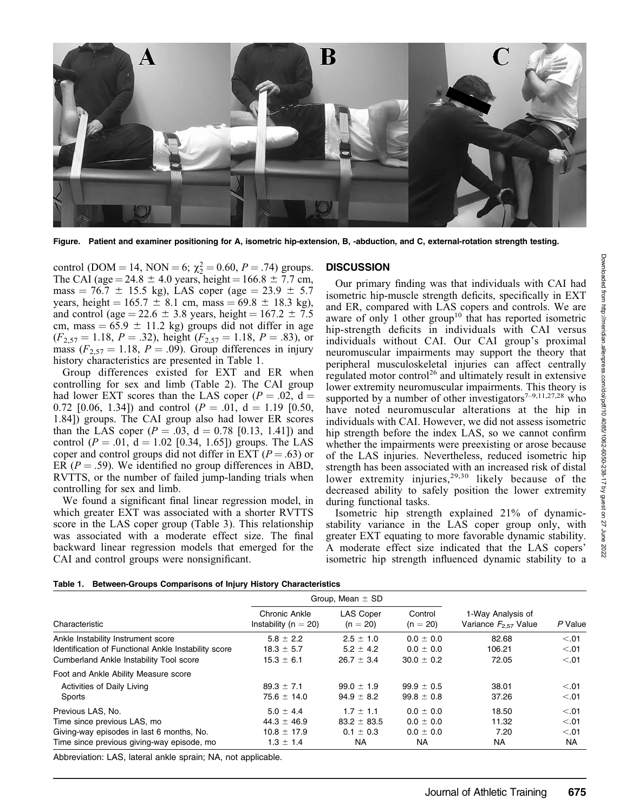

Figure. Patient and examiner positioning for A, isometric hip-extension, B, -abduction, and C, external-rotation strength testing.

control (DOM = 14, NON = 6;  $\chi^2$  = 0.60, P = .74) groups. The CAI (age = 24.8  $\pm$  4.0 years, height = 166.8  $\pm$  7.7 cm, mass = 76.7  $\pm$  15.5 kg), LAS coper (age = 23.9  $\pm$  5.7 years, height =  $165.7 \pm 8.1$  cm, mass =  $69.8 \pm 18.3$  kg), and control (age = 22.6  $\pm$  3.8 years, height = 167.2  $\pm$  7.5 cm, mass =  $65.9 \pm 11.2$  kg) groups did not differ in age  $(F_{2,57} = 1.18, P = .32)$ , height  $(F_{2,57} = 1.18, P = .83)$ , or mass  $(F_{2,57} = 1.18, P = .09)$ . Group differences in injury history characteristics are presented in Table 1.

Group differences existed for EXT and ER when controlling for sex and limb (Table 2). The CAI group had lower EXT scores than the LAS coper ( $P = .02$ , d = 0.72 [0.06, 1.34]) and control ( $P = .01$ ,  $d = 1.19$  [0.50, 1.84]) groups. The CAI group also had lower ER scores than the LAS coper  $(P = .03, d = 0.78$  [0.13, 1.41]) and control ( $P = .01$ ,  $d = 1.02$  [0.34, 1.65]) groups. The LAS coper and control groups did not differ in EXT ( $P = .63$ ) or ER ( $P = .59$ ). We identified no group differences in ABD, RVTTS, or the number of failed jump-landing trials when controlling for sex and limb.

We found a significant final linear regression model, in which greater EXT was associated with a shorter RVTTS score in the LAS coper group (Table 3). This relationship was associated with a moderate effect size. The final backward linear regression models that emerged for the CAI and control groups were nonsignificant.

#### **DISCUSSION**

Our primary finding was that individuals with CAI had isometric hip-muscle strength deficits, specifically in EXT and ER, compared with LAS copers and controls. We are aware of only 1 other group<sup>10</sup> that has reported isometric hip-strength deficits in individuals with CAI versus individuals without CAI. Our CAI group's proximal neuromuscular impairments may support the theory that peripheral musculoskeletal injuries can affect centrally regulated motor control<sup>26</sup> and ultimately result in extensive lower extremity neuromuscular impairments. This theory is supported by a number of other investigators<sup> $7-9,11,27,28$ </sup> who have noted neuromuscular alterations at the hip in individuals with CAI. However, we did not assess isometric hip strength before the index LAS, so we cannot confirm whether the impairments were preexisting or arose because of the LAS injuries. Nevertheless, reduced isometric hip strength has been associated with an increased risk of distal lower extremity injuries,<sup>29,30</sup> likely because of the decreased ability to safely position the lower extremity during functional tasks.

Isometric hip strength explained 21% of dynamicstability variance in the LAS coper group only, with greater EXT equating to more favorable dynamic stability. A moderate effect size indicated that the LAS copers' isometric hip strength influenced dynamic stability to a

|  |  |  |  | Table 1. Between-Groups Comparisons of Injury History Characteristics |
|--|--|--|--|-----------------------------------------------------------------------|
|--|--|--|--|-----------------------------------------------------------------------|

|                                                      | Group, Mean $\pm$ SD                      |                                |                       |                                                |           |
|------------------------------------------------------|-------------------------------------------|--------------------------------|-----------------------|------------------------------------------------|-----------|
| Characteristic                                       | Chronic Ankle<br>Instability ( $n = 20$ ) | <b>LAS Coper</b><br>$(n = 20)$ | Control<br>$(n = 20)$ | 1-Way Analysis of<br>Variance $F_{2.57}$ Value | P Value   |
| Ankle Instability Instrument score                   | $5.8 \pm 2.2$                             | $2.5 \pm 1.0$                  | $0.0 \pm 0.0$         | 82.68                                          | < 0.01    |
| Identification of Functional Ankle Instability score | $18.3 \pm 5.7$                            | $5.2 \pm 4.2$                  | $0.0 \pm 0.0$         | 106.21                                         | < 0.01    |
| Cumberland Ankle Instability Tool score              | $15.3 \pm 6.1$                            | $26.7 \pm 3.4$                 | $30.0 \pm 0.2$        | 72.05                                          | < 0.01    |
| Foot and Ankle Ability Measure score                 |                                           |                                |                       |                                                |           |
| Activities of Daily Living                           | $89.3 \pm 7.1$                            | $99.0 \pm 1.9$                 | $99.9 \pm 0.5$        | 38.01                                          | < 0.01    |
| Sports                                               | $75.6 \pm 14.0$                           | $94.9 \pm 8.2$                 | $99.8 \pm 0.8$        | 37.26                                          | < 01      |
| Previous LAS, No.                                    | $5.0 \pm 4.4$                             | $1.7 \pm 1.1$                  | $0.0 \pm 0.0$         | 18.50                                          | < 0.01    |
| Time since previous LAS, mo                          | $44.3 \pm 46.9$                           | $83.2 \pm 83.5$                | $0.0 \pm 0.0$         | 11.32                                          | < 01      |
| Giving-way episodes in last 6 months, No.            | $10.8 \pm 17.9$                           | $0.1 \pm 0.3$                  | $0.0 \pm 0.0$         | 7.20                                           | < 0.01    |
| Time since previous giving-way episode, mo           | $1.3 \pm 1.4$                             | NA.                            | NA.                   | NA                                             | <b>NA</b> |

Abbreviation: LAS, lateral ankle sprain; NA, not applicable.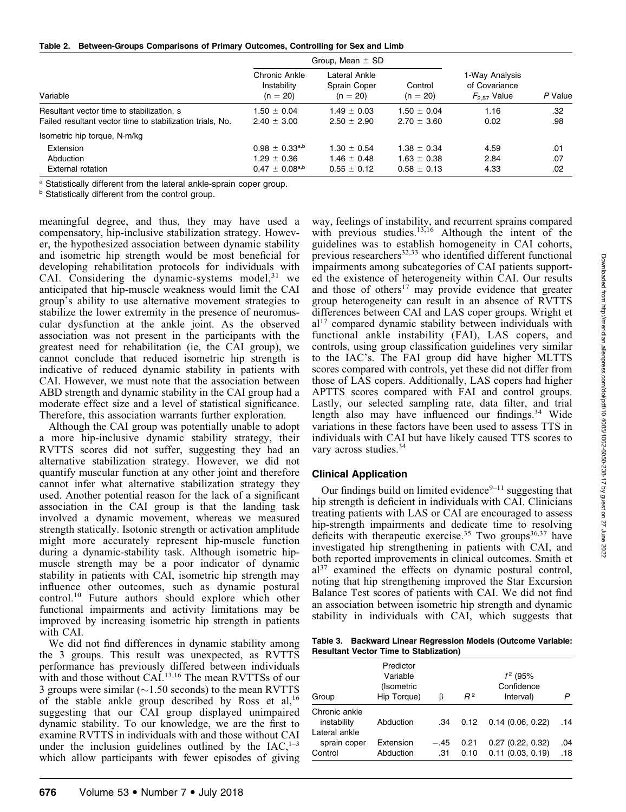Table 2. Between-Groups Comparisons of Primary Outcomes, Controlling for Sex and Limb

| Group, Mean $\pm$ SD                                              |                                                       |                                                       |                                                     |                   |
|-------------------------------------------------------------------|-------------------------------------------------------|-------------------------------------------------------|-----------------------------------------------------|-------------------|
| Chronic Ankle<br>Instability<br>$(n = 20)$                        | Lateral Ankle<br>Sprain Coper<br>$(n = 20)$           | Control<br>$(n = 20)$                                 | 1-Way Analysis<br>of Covariance<br>$F_{2.57}$ Value | P Value           |
| $1.50 \pm 0.04$<br>$2.40 \pm 3.00$                                | $1.49 \pm 0.03$<br>$2.50 \pm 2.90$                    | $1.50 \pm 0.04$<br>$2.70 \pm 3.60$                    | 1.16<br>0.02                                        | .32<br>.98        |
|                                                                   |                                                       |                                                       |                                                     |                   |
| $0.98 \pm 0.33^{a,b}$<br>$1.29 \pm 0.36$<br>$0.47 \pm 0.08^{a,b}$ | $1.30 \pm 0.54$<br>$1.46 \pm 0.48$<br>$0.55 \pm 0.12$ | $1.38 \pm 0.34$<br>$1.63 \pm 0.38$<br>$0.58 \pm 0.13$ | 4.59<br>2.84<br>4.33                                | .01<br>.07<br>.02 |
|                                                                   |                                                       |                                                       |                                                     |                   |

<sup>a</sup> Statistically different from the lateral ankle-sprain coper group.

**b** Statistically different from the control group.

meaningful degree, and thus, they may have used a compensatory, hip-inclusive stabilization strategy. However, the hypothesized association between dynamic stability and isometric hip strength would be most beneficial for developing rehabilitation protocols for individuals with CAI. Considering the dynamic-systems model, $31$  we anticipated that hip-muscle weakness would limit the CAI group's ability to use alternative movement strategies to stabilize the lower extremity in the presence of neuromuscular dysfunction at the ankle joint. As the observed association was not present in the participants with the greatest need for rehabilitation (ie, the CAI group), we cannot conclude that reduced isometric hip strength is indicative of reduced dynamic stability in patients with CAI. However, we must note that the association between ABD strength and dynamic stability in the CAI group had a moderate effect size and a level of statistical significance. Therefore, this association warrants further exploration.

Although the CAI group was potentially unable to adopt a more hip-inclusive dynamic stability strategy, their RVTTS scores did not suffer, suggesting they had an alternative stabilization strategy. However, we did not quantify muscular function at any other joint and therefore cannot infer what alternative stabilization strategy they used. Another potential reason for the lack of a significant association in the CAI group is that the landing task involved a dynamic movement, whereas we measured strength statically. Isotonic strength or activation amplitude might more accurately represent hip-muscle function during a dynamic-stability task. Although isometric hipmuscle strength may be a poor indicator of dynamic stability in patients with CAI, isometric hip strength may influence other outcomes, such as dynamic postural control.<sup>10</sup> Future authors should explore which other functional impairments and activity limitations may be improved by increasing isometric hip strength in patients with CAI.

We did not find differences in dynamic stability among the 3 groups. This result was unexpected, as RVTTS performance has previously differed between individuals with and those without CAI.<sup>13,16</sup> The mean RVTTSs of our 3 groups were similar ( $\sim$ 1.50 seconds) to the mean RVTTS of the stable ankle group described by Ross et al,<sup>16</sup> suggesting that our CAI group displayed unimpaired dynamic stability. To our knowledge, we are the first to examine RVTTS in individuals with and those without CAI under the inclusion guidelines outlined by the  $IAC$ ,  $1-3$ which allow participants with fewer episodes of giving way, feelings of instability, and recurrent sprains compared with previous studies. $13,16$  Although the intent of the guidelines was to establish homogeneity in CAI cohorts, previous researchers $32,33$  who identified different functional impairments among subcategories of CAI patients supported the existence of heterogeneity within CAI. Our results and those of others<sup>17</sup> may provide evidence that greater group heterogeneity can result in an absence of RVTTS differences between CAI and LAS coper groups. Wright et  $al<sup>17</sup>$  compared dynamic stability between individuals with functional ankle instability (FAI), LAS copers, and controls, using group classification guidelines very similar to the IAC's. The FAI group did have higher MLTTS scores compared with controls, yet these did not differ from those of LAS copers. Additionally, LAS copers had higher APTTS scores compared with FAI and control groups. Lastly, our selected sampling rate, data filter, and trial length also may have influenced our findings.<sup>34</sup> Wide variations in these factors have been used to assess TTS in individuals with CAI but have likely caused TTS scores to vary across studies. $34$ 

# Clinical Application

Our findings build on limited evidence $9-11$  suggesting that hip strength is deficient in individuals with CAI. Clinicians treating patients with LAS or CAI are encouraged to assess hip-strength impairments and dedicate time to resolving deficits with therapeutic exercise.<sup>35</sup> Two groups<sup>36,37</sup> have investigated hip strengthening in patients with CAI, and both reported improvements in clinical outcomes. Smith et  $a^{37}$  examined the effects on dynamic postural control, noting that hip strengthening improved the Star Excursion Balance Test scores of patients with CAI. We did not find an association between isometric hip strength and dynamic stability in individuals with CAI, which suggests that

Table 3. Backward Linear Regression Models (Outcome Variable: Resultant Vector Time to Stablization)

| Group                                    | Predictor<br>Variable<br>(Isometric<br>Hip Torque) | ß             | $R^2$        | $f^2$ (95%<br>Confidence<br>Interval)     | P          |
|------------------------------------------|----------------------------------------------------|---------------|--------------|-------------------------------------------|------------|
| Chronic ankle<br>instability             | Abduction                                          | .34           | 0.12         | 0.14(0.06, 0.22)                          | .14        |
| Lateral ankle<br>sprain coper<br>Control | Extension<br>Abduction                             | $-.45$<br>.31 | 0.21<br>0.10 | 0.27(0.22, 0.32)<br>$0.11$ $(0.03, 0.19)$ | .04<br>.18 |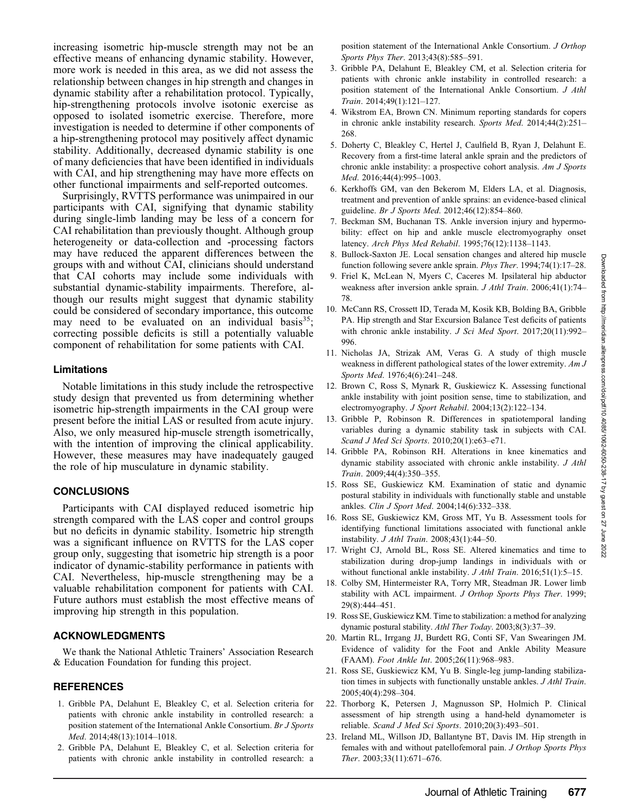increasing isometric hip-muscle strength may not be an effective means of enhancing dynamic stability. However, more work is needed in this area, as we did not assess the relationship between changes in hip strength and changes in dynamic stability after a rehabilitation protocol. Typically, hip-strengthening protocols involve isotonic exercise as opposed to isolated isometric exercise. Therefore, more investigation is needed to determine if other components of a hip-strengthening protocol may positively affect dynamic stability. Additionally, decreased dynamic stability is one of many deficiencies that have been identified in individuals with CAI, and hip strengthening may have more effects on other functional impairments and self-reported outcomes.

Surprisingly, RVTTS performance was unimpaired in our participants with CAI, signifying that dynamic stability during single-limb landing may be less of a concern for CAI rehabilitation than previously thought. Although group heterogeneity or data-collection and -processing factors may have reduced the apparent differences between the groups with and without CAI, clinicians should understand that CAI cohorts may include some individuals with substantial dynamic-stability impairments. Therefore, although our results might suggest that dynamic stability could be considered of secondary importance, this outcome may need to be evaluated on an individual basis $^{35}$ ; correcting possible deficits is still a potentially valuable component of rehabilitation for some patients with CAI.

#### Limitations

Notable limitations in this study include the retrospective study design that prevented us from determining whether isometric hip-strength impairments in the CAI group were present before the initial LAS or resulted from acute injury. Also, we only measured hip-muscle strength isometrically, with the intention of improving the clinical applicability. However, these measures may have inadequately gauged the role of hip musculature in dynamic stability.

## **CONCLUSIONS**

Participants with CAI displayed reduced isometric hip strength compared with the LAS coper and control groups but no deficits in dynamic stability. Isometric hip strength was a significant influence on RVTTS for the LAS coper group only, suggesting that isometric hip strength is a poor indicator of dynamic-stability performance in patients with CAI. Nevertheless, hip-muscle strengthening may be a valuable rehabilitation component for patients with CAI. Future authors must establish the most effective means of improving hip strength in this population.

## ACKNOWLEDGMENTS

We thank the National Athletic Trainers' Association Research & Education Foundation for funding this project.

#### **REFERENCES**

- 1. Gribble PA, Delahunt E, Bleakley C, et al. Selection criteria for patients with chronic ankle instability in controlled research: a position statement of the International Ankle Consortium. Br J Sports Med. 2014;48(13):1014–1018.
- 2. Gribble PA, Delahunt E, Bleakley C, et al. Selection criteria for patients with chronic ankle instability in controlled research: a

position statement of the International Ankle Consortium. J Orthop Sports Phys Ther. 2013;43(8):585-591.

- 3. Gribble PA, Delahunt E, Bleakley CM, et al. Selection criteria for patients with chronic ankle instability in controlled research: a position statement of the International Ankle Consortium. J Athl Train. 2014;49(1):121–127.
- 4. Wikstrom EA, Brown CN. Minimum reporting standards for copers in chronic ankle instability research. Sports Med. 2014;44(2):251– 268.
- 5. Doherty C, Bleakley C, Hertel J, Caulfield B, Ryan J, Delahunt E. Recovery from a first-time lateral ankle sprain and the predictors of chronic ankle instability: a prospective cohort analysis. Am J Sports Med. 2016;44(4):995–1003.
- 6. Kerkhoffs GM, van den Bekerom M, Elders LA, et al. Diagnosis, treatment and prevention of ankle sprains: an evidence-based clinical guideline. Br J Sports Med. 2012;46(12):854-860.
- 7. Beckman SM, Buchanan TS. Ankle inversion injury and hypermobility: effect on hip and ankle muscle electromyography onset latency. Arch Phys Med Rehabil. 1995;76(12):1138–1143.
- 8. Bullock-Saxton JE. Local sensation changes and altered hip muscle function following severe ankle sprain. Phys Ther. 1994;74(1):17–28.
- 9. Friel K, McLean N, Myers C, Caceres M. Ipsilateral hip abductor weakness after inversion ankle sprain. *J Athl Train*. 2006;41(1):74– 78.
- 10. McCann RS, Crossett ID, Terada M, Kosik KB, Bolding BA, Gribble PA. Hip strength and Star Excursion Balance Test deficits of patients with chronic ankle instability. J Sci Med Sport. 2017;20(11):992-996.
- 11. Nicholas JA, Strizak AM, Veras G. A study of thigh muscle weakness in different pathological states of the lower extremity. Am J Sports Med. 1976;4(6):241–248.
- 12. Brown C, Ross S, Mynark R, Guskiewicz K. Assessing functional ankle instability with joint position sense, time to stabilization, and electromyography. J Sport Rehabil. 2004;13(2):122–134.
- 13. Gribble P, Robinson R. Differences in spatiotemporal landing variables during a dynamic stability task in subjects with CAI. Scand J Med Sci Sports. 2010;20(1):e63–e71.
- 14. Gribble PA, Robinson RH. Alterations in knee kinematics and dynamic stability associated with chronic ankle instability. J Athl Train. 2009;44(4):350–355.
- 15. Ross SE, Guskiewicz KM. Examination of static and dynamic postural stability in individuals with functionally stable and unstable ankles. Clin J Sport Med. 2004;14(6):332–338.
- 16. Ross SE, Guskiewicz KM, Gross MT, Yu B. Assessment tools for identifying functional limitations associated with functional ankle instability. J Athl Train. 2008;43(1):44–50.
- 17. Wright CJ, Arnold BL, Ross SE. Altered kinematics and time to stabilization during drop-jump landings in individuals with or without functional ankle instability. *J Athl Train*. 2016;51(1):5–15.
- 18. Colby SM, Hintermeister RA, Torry MR, Steadman JR. Lower limb stability with ACL impairment. J Orthop Sports Phys Ther. 1999; 29(8):444–451.
- 19. Ross SE, Guskiewicz KM. Time to stabilization: a method for analyzing dynamic postural stability. Athl Ther Today. 2003;8(3):37–39.
- 20. Martin RL, Irrgang JJ, Burdett RG, Conti SF, Van Swearingen JM. Evidence of validity for the Foot and Ankle Ability Measure (FAAM). Foot Ankle Int. 2005;26(11):968–983.
- 21. Ross SE, Guskiewicz KM, Yu B. Single-leg jump-landing stabilization times in subjects with functionally unstable ankles. J Athl Train. 2005;40(4):298–304.
- 22. Thorborg K, Petersen J, Magnusson SP, Holmich P. Clinical assessment of hip strength using a hand-held dynamometer is reliable. Scand J Med Sci Sports. 2010;20(3):493–501.
- 23. Ireland ML, Willson JD, Ballantyne BT, Davis IM. Hip strength in females with and without patellofemoral pain. J Orthop Sports Phys Ther. 2003;33(11):671–676.